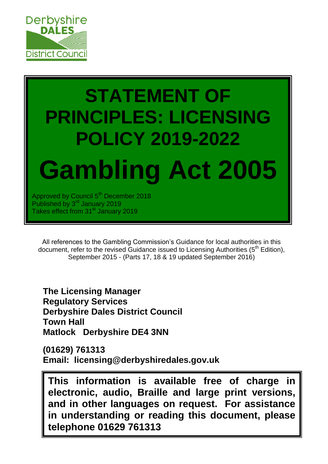

# **STATEMENT OF PRINCIPLES: LICENSING POLICY 2019-2022 Gambling Act 2005**

Approved by Council 5<sup>th</sup> December 2018 Published by 3<sup>rd</sup> January 2019 Takes effect from 31<sup>st</sup> January 2019

All references to the Gambling Commission's Guidance for local authorities in this document, refer to the revised Guidance issued to Licensing Authorities ( $5<sup>th</sup>$  Edition), September 2015 - (Parts 17, 18 & 19 updated September 2016)

**The Licensing Manager Regulatory Services Derbyshire Dales District Council Town Hall Matlock Derbyshire DE4 3NN**

**(01629) 761313 Email: licensing@derbyshiredales.gov.uk**

**This information is available free of charge in electronic, audio, Braille and large print versions, and in other languages on request. For assistance in understanding or reading this document, please telephone 01629 761313**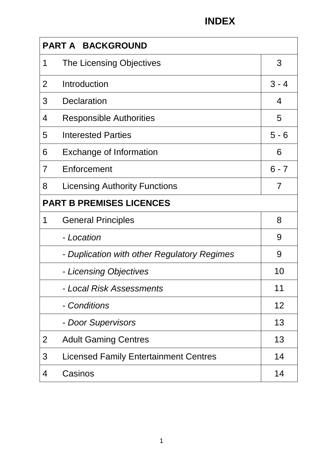| <b>PART A BACKGROUND</b>        |                                              |         |  |  |
|---------------------------------|----------------------------------------------|---------|--|--|
| 1                               | The Licensing Objectives                     | 3       |  |  |
| $\overline{2}$                  | Introduction                                 | $3 - 4$ |  |  |
| 3                               | <b>Declaration</b>                           | 4       |  |  |
| 4                               | <b>Responsible Authorities</b>               | 5       |  |  |
| 5                               | <b>Interested Parties</b>                    | $5 - 6$ |  |  |
| 6                               | <b>Exchange of Information</b>               | 6       |  |  |
| 7                               | Enforcement                                  | $6 - 7$ |  |  |
| 8                               | <b>Licensing Authority Functions</b>         | 7       |  |  |
| <b>PART B PREMISES LICENCES</b> |                                              |         |  |  |
| 1                               | <b>General Principles</b>                    | 8       |  |  |
|                                 | - Location                                   | 9       |  |  |
|                                 | - Duplication with other Regulatory Regimes  | 9       |  |  |
|                                 | - Licensing Objectives                       | 10      |  |  |
|                                 | - Local Risk Assessments                     | 11      |  |  |
|                                 | - Conditions                                 | 12      |  |  |
|                                 | - Door Supervisors                           | 13      |  |  |
| 2                               | <b>Adult Gaming Centres</b>                  | 13      |  |  |
| 3                               | <b>Licensed Family Entertainment Centres</b> | 14      |  |  |
| 4                               | Casinos                                      | 14      |  |  |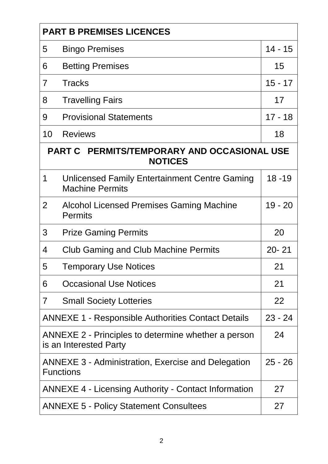| <b>PART B PREMISES LICENCES</b>                               |                                                                                            |           |  |  |  |
|---------------------------------------------------------------|--------------------------------------------------------------------------------------------|-----------|--|--|--|
| 5                                                             | <b>Bingo Premises</b>                                                                      |           |  |  |  |
| 6                                                             | <b>Betting Premises</b>                                                                    | 15        |  |  |  |
| $\overline{7}$                                                | <b>Tracks</b>                                                                              |           |  |  |  |
| 8                                                             | <b>Travelling Fairs</b>                                                                    |           |  |  |  |
| 9                                                             | <b>Provisional Statements</b>                                                              |           |  |  |  |
| 10                                                            | <b>Reviews</b>                                                                             | 18        |  |  |  |
| PART C PERMITS/TEMPORARY AND OCCASIONAL USE<br><b>NOTICES</b> |                                                                                            |           |  |  |  |
| 1                                                             | Unlicensed Family Entertainment Centre Gaming<br><b>Machine Permits</b>                    | $18 - 19$ |  |  |  |
| $\overline{2}$                                                | <b>Alcohol Licensed Premises Gaming Machine</b><br><b>Permits</b>                          |           |  |  |  |
| 3                                                             | <b>Prize Gaming Permits</b>                                                                |           |  |  |  |
| $\overline{4}$                                                | <b>Club Gaming and Club Machine Permits</b>                                                | $20 - 21$ |  |  |  |
| 5                                                             | <b>Temporary Use Notices</b>                                                               | 21        |  |  |  |
| 6                                                             | <b>Occasional Use Notices</b>                                                              | 21        |  |  |  |
| $\overline{7}$                                                | <b>Small Society Lotteries</b>                                                             | 22        |  |  |  |
| <b>ANNEXE 1 - Responsible Authorities Contact Details</b>     |                                                                                            |           |  |  |  |
|                                                               | ANNEXE 2 - Principles to determine whether a person<br>24<br>is an Interested Party        |           |  |  |  |
|                                                               | <b>ANNEXE 3 - Administration, Exercise and Delegation</b><br>$25 - 26$<br><b>Functions</b> |           |  |  |  |
|                                                               | <b>ANNEXE 4 - Licensing Authority - Contact Information</b><br>27                          |           |  |  |  |
|                                                               | <b>ANNEXE 5 - Policy Statement Consultees</b><br>27                                        |           |  |  |  |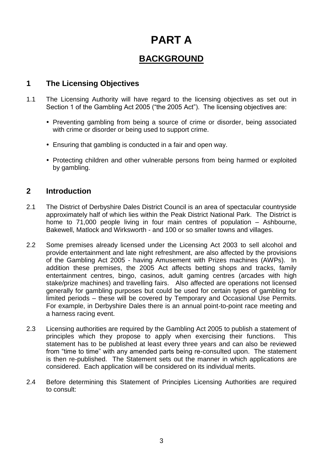# **PART A**

# **BACKGROUND**

#### **1 The Licensing Objectives**

- 1.1 The Licensing Authority will have regard to the licensing objectives as set out in Section 1 of the Gambling Act 2005 ("the 2005 Act"). The licensing objectives are:
	- Preventing gambling from being a source of crime or disorder, being associated with crime or disorder or being used to support crime.
	- Ensuring that gambling is conducted in a fair and open way.
	- Protecting children and other vulnerable persons from being harmed or exploited by gambling.

#### **2 Introduction**

- 2.1 The District of Derbyshire Dales District Council is an area of spectacular countryside approximately half of which lies within the Peak District National Park. The District is home to 71,000 people living in four main centres of population – Ashbourne, Bakewell, Matlock and Wirksworth - and 100 or so smaller towns and villages.
- 2.2 Some premises already licensed under the Licensing Act 2003 to sell alcohol and provide entertainment and late night refreshment, are also affected by the provisions of the Gambling Act 2005 - having Amusement with Prizes machines (AWPs). In addition these premises, the 2005 Act affects betting shops and tracks, family entertainment centres, bingo, casinos, adult gaming centres (arcades with high stake/prize machines) and travelling fairs. Also affected are operations not licensed generally for gambling purposes but could be used for certain types of gambling for limited periods – these will be covered by Temporary and Occasional Use Permits. For example, in Derbyshire Dales there is an annual point-to-point race meeting and a harness racing event.
- 2.3 Licensing authorities are required by the Gambling Act 2005 to publish a statement of principles which they propose to apply when exercising their functions. This statement has to be published at least every three years and can also be reviewed from "time to time" with any amended parts being re-consulted upon. The statement is then re-published. The Statement sets out the manner in which applications are considered. Each application will be considered on its individual merits.
- 2.4 Before determining this Statement of Principles Licensing Authorities are required to consult: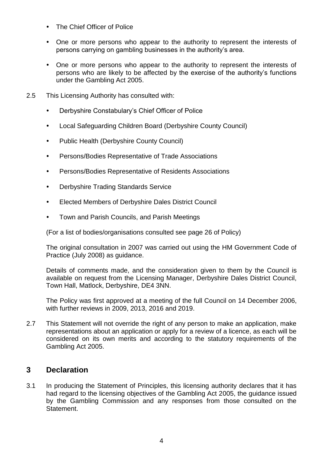- The Chief Officer of Police
- One or more persons who appear to the authority to represent the interests of persons carrying on gambling businesses in the authority's area.
- One or more persons who appear to the authority to represent the interests of persons who are likely to be affected by the exercise of the authority's functions under the Gambling Act 2005.
- 2.5 This Licensing Authority has consulted with:
	- Derbyshire Constabulary's Chief Officer of Police
	- Local Safeguarding Children Board (Derbyshire County Council)
	- Public Health (Derbyshire County Council)
	- Persons/Bodies Representative of Trade Associations
	- Persons/Bodies Representative of Residents Associations
	- Derbyshire Trading Standards Service
	- Elected Members of Derbyshire Dales District Council
	- Town and Parish Councils, and Parish Meetings

(For a list of bodies/organisations consulted see page 26 of Policy)

The original consultation in 2007 was carried out using the HM Government Code of Practice (July 2008) as guidance.

Details of comments made, and the consideration given to them by the Council is available on request from the Licensing Manager, Derbyshire Dales District Council, Town Hall, Matlock, Derbyshire, DE4 3NN.

The Policy was first approved at a meeting of the full Council on 14 December 2006, with further reviews in 2009, 2013, 2016 and 2019.

2.7 This Statement will not override the right of any person to make an application, make representations about an application or apply for a review of a licence, as each will be considered on its own merits and according to the statutory requirements of the Gambling Act 2005.

#### **3 Declaration**

3.1 In producing the Statement of Principles, this licensing authority declares that it has had regard to the licensing objectives of the Gambling Act 2005, the guidance issued by the Gambling Commission and any responses from those consulted on the **Statement**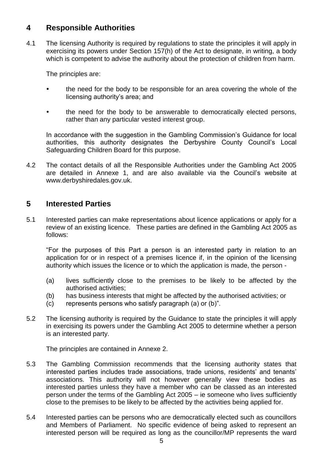#### **4 Responsible Authorities**

4.1 The licensing Authority is required by regulations to state the principles it will apply in exercising its powers under Section 157(h) of the Act to designate, in writing, a body which is competent to advise the authority about the protection of children from harm.

The principles are:

- the need for the body to be responsible for an area covering the whole of the licensing authority's area; and
- the need for the body to be answerable to democratically elected persons, rather than any particular vested interest group.

In accordance with the suggestion in the Gambling Commission's Guidance for local authorities, this authority designates the Derbyshire County Council's Local Safeguarding Children Board for this purpose.

4.2 The contact details of all the Responsible Authorities under the Gambling Act 2005 are detailed in Annexe 1, and are also available via the Council's website at www.derbyshiredales.gov.uk.

#### **5 Interested Parties**

5.1 Interested parties can make representations about licence applications or apply for a review of an existing licence. These parties are defined in the Gambling Act 2005 as follows:

"For the purposes of this Part a person is an interested party in relation to an application for or in respect of a premises licence if, in the opinion of the licensing authority which issues the licence or to which the application is made, the person -

- (a) lives sufficiently close to the premises to be likely to be affected by the authorised activities;
- (b) has business interests that might be affected by the authorised activities; or
- (c) represents persons who satisfy paragraph (a) or (b)".
- 5.2 The licensing authority is required by the Guidance to state the principles it will apply in exercising its powers under the Gambling Act 2005 to determine whether a person is an interested party.

The principles are contained in Annexe 2.

- 5.3 The Gambling Commission recommends that the licensing authority states that interested parties includes trade associations, trade unions, residents' and tenants' associations. This authority will not however generally view these bodies as interested parties unless they have a member who can be classed as an interested person under the terms of the Gambling Act 2005 – ie someone who lives sufficiently close to the premises to be likely to be affected by the activities being applied for.
- 5.4 Interested parties can be persons who are democratically elected such as councillors and Members of Parliament. No specific evidence of being asked to represent an interested person will be required as long as the councillor/MP represents the ward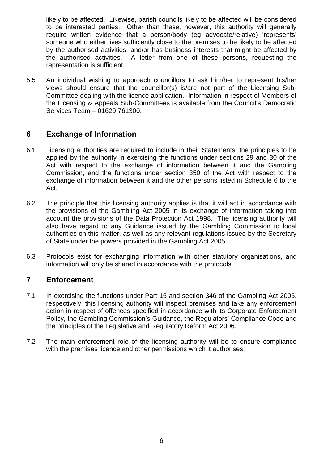likely to be affected. Likewise, parish councils likely to be affected will be considered to be interested parties. Other than these, however, this authority will generally require written evidence that a person/body (eg advocate/relative) 'represents' someone who either lives sufficiently close to the premises to be likely to be affected by the authorised activities, and/or has business interests that might be affected by the authorised activities. A letter from one of these persons, requesting the representation is sufficient.

5.5 An individual wishing to approach councillors to ask him/her to represent his/her views should ensure that the councillor(s) is/are not part of the Licensing Sub-Committee dealing with the licence application. Information in respect of Members of the Licensing & Appeals Sub-Committees is available from the Council's Democratic Services Team – 01629 761300.

#### **6 Exchange of Information**

- 6.1 Licensing authorities are required to include in their Statements, the principles to be applied by the authority in exercising the functions under sections 29 and 30 of the Act with respect to the exchange of information between it and the Gambling Commission, and the functions under section 350 of the Act with respect to the exchange of information between it and the other persons listed in Schedule 6 to the Act.
- 6.2 The principle that this licensing authority applies is that it will act in accordance with the provisions of the Gambling Act 2005 in its exchange of information taking into account the provisions of the Data Protection Act 1998. The licensing authority will also have regard to any Guidance issued by the Gambling Commission to local authorities on this matter, as well as any relevant regulations issued by the Secretary of State under the powers provided in the Gambling Act 2005.
- 6.3 Protocols exist for exchanging information with other statutory organisations, and information will only be shared in accordance with the protocols.

#### **7 Enforcement**

- 7.1 In exercising the functions under Part 15 and section 346 of the Gambling Act 2005, respectively, this licensing authority will inspect premises and take any enforcement action in respect of offences specified in accordance with its Corporate Enforcement Policy, the Gambling Commission's Guidance, the Regulators' Compliance Code and the principles of the Legislative and Regulatory Reform Act 2006.
- 7.2 The main enforcement role of the licensing authority will be to ensure compliance with the premises licence and other permissions which it authorises.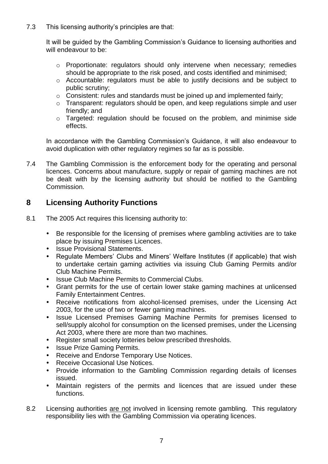7.3 This licensing authority's principles are that:

It will be guided by the Gambling Commission's Guidance to licensing authorities and will endeavour to be:

- o Proportionate: regulators should only intervene when necessary; remedies should be appropriate to the risk posed, and costs identified and minimised;
- o Accountable: regulators must be able to justify decisions and be subject to public scrutiny;
- o Consistent: rules and standards must be joined up and implemented fairly;
- o Transparent: regulators should be open, and keep regulations simple and user friendly; and
- o Targeted: regulation should be focused on the problem, and minimise side effects.

In accordance with the Gambling Commission's Guidance, it will also endeavour to avoid duplication with other regulatory regimes so far as is possible.

7.4 The Gambling Commission is the enforcement body for the operating and personal licences. Concerns about manufacture, supply or repair of gaming machines are not be dealt with by the licensing authority but should be notified to the Gambling Commission.

#### **8 Licensing Authority Functions**

- 8.1 The 2005 Act requires this licensing authority to:
	- Be responsible for the licensing of premises where gambling activities are to take place by issuing Premises Licences.
	- Issue Provisional Statements.
	- Regulate Members' Clubs and Miners' Welfare Institutes (if applicable) that wish to undertake certain gaming activities via issuing Club Gaming Permits and/or Club Machine Permits.
	- Issue Club Machine Permits to Commercial Clubs.
	- Grant permits for the use of certain lower stake gaming machines at unlicensed Family Entertainment Centres.
	- Receive notifications from alcohol-licensed premises, under the Licensing Act 2003, for the use of two or fewer gaming machines.
	- Issue Licensed Premises Gaming Machine Permits for premises licensed to sell/supply alcohol for consumption on the licensed premises, under the Licensing Act 2003, where there are more than two machines.
	- Register small society lotteries below prescribed thresholds.
	- Issue Prize Gaming Permits.
	- Receive and Endorse Temporary Use Notices.
	- Receive Occasional Use Notices.
	- Provide information to the Gambling Commission regarding details of licenses issued.
	- Maintain registers of the permits and licences that are issued under these functions.
- 8.2 Licensing authorities are not involved in licensing remote gambling. This regulatory responsibility lies with the Gambling Commission via operating licences.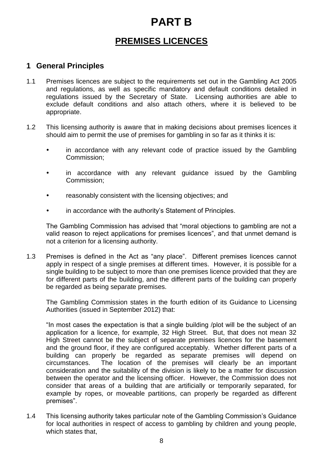# **PART B**

# **PREMISES LICENCES**

#### **1 General Principles**

- 1.1 Premises licences are subject to the requirements set out in the Gambling Act 2005 and regulations, as well as specific mandatory and default conditions detailed in regulations issued by the Secretary of State. Licensing authorities are able to exclude default conditions and also attach others, where it is believed to be appropriate.
- 1.2 This licensing authority is aware that in making decisions about premises licences it should aim to permit the use of premises for gambling in so far as it thinks it is:
	- in accordance with any relevant code of practice issued by the Gambling Commission;
	- in accordance with any relevant guidance issued by the Gambling Commission;
	- reasonably consistent with the licensing objectives; and
	- in accordance with the authority's Statement of Principles.

The Gambling Commission has advised that "moral objections to gambling are not a valid reason to reject applications for premises licences", and that unmet demand is not a criterion for a licensing authority.

1.3 Premises is defined in the Act as "any place". Different premises licences cannot apply in respect of a single premises at different times. However, it is possible for a single building to be subject to more than one premises licence provided that they are for different parts of the building, and the different parts of the building can properly be regarded as being separate premises.

The Gambling Commission states in the fourth edition of its Guidance to Licensing Authorities (issued in September 2012) that:

"In most cases the expectation is that a single building /plot will be the subject of an application for a licence, for example, 32 High Street. But, that does not mean 32 High Street cannot be the subject of separate premises licences for the basement and the ground floor, if they are configured acceptably. Whether different parts of a building can properly be regarded as separate premises will depend on circumstances. The location of the premises will clearly be an important consideration and the suitability of the division is likely to be a matter for discussion between the operator and the licensing officer. However, the Commission does not consider that areas of a building that are artificially or temporarily separated, for example by ropes, or moveable partitions, can properly be regarded as different premises".

1.4 This licensing authority takes particular note of the Gambling Commission's Guidance for local authorities in respect of access to gambling by children and young people, which states that.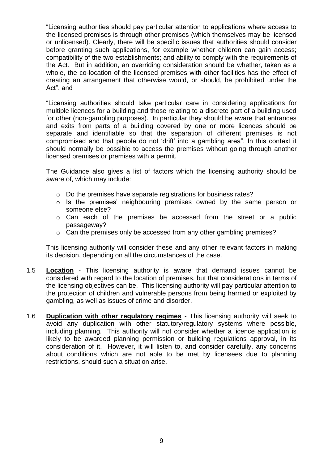"Licensing authorities should pay particular attention to applications where access to the licensed premises is through other premises (which themselves may be licensed or unlicensed). Clearly, there will be specific issues that authorities should consider before granting such applications, for example whether children can gain access; compatibility of the two establishments; and ability to comply with the requirements of the Act. But in addition, an overriding consideration should be whether, taken as a whole, the co-location of the licensed premises with other facilities has the effect of creating an arrangement that otherwise would, or should, be prohibited under the Act", and

"Licensing authorities should take particular care in considering applications for multiple licences for a building and those relating to a discrete part of a building used for other (non-gambling purposes). In particular they should be aware that entrances and exits from parts of a building covered by one or more licences should be separate and identifiable so that the separation of different premises is not compromised and that people do not 'drift' into a gambling area". In this context it should normally be possible to access the premises without going through another licensed premises or premises with a permit.

The Guidance also gives a list of factors which the licensing authority should be aware of, which may include:

- o Do the premises have separate registrations for business rates?
- o Is the premises' neighbouring premises owned by the same person or someone else?
- o Can each of the premises be accessed from the street or a public passageway?
- o Can the premises only be accessed from any other gambling premises?

This licensing authority will consider these and any other relevant factors in making its decision, depending on all the circumstances of the case.

- 1.5 **Location** This licensing authority is aware that demand issues cannot be considered with regard to the location of premises, but that considerations in terms of the licensing objectives can be. This licensing authority will pay particular attention to the protection of children and vulnerable persons from being harmed or exploited by gambling, as well as issues of crime and disorder.
- 1.6 **Duplication with other regulatory regimes** This licensing authority will seek to avoid any duplication with other statutory/regulatory systems where possible, including planning. This authority will not consider whether a licence application is likely to be awarded planning permission or building regulations approval, in its consideration of it. However, it will listen to, and consider carefully, any concerns about conditions which are not able to be met by licensees due to planning restrictions, should such a situation arise.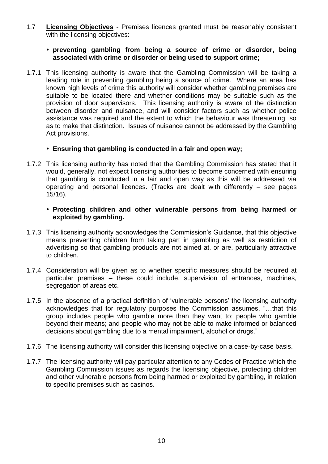1.7 **Licensing Objectives** - Premises licences granted must be reasonably consistent with the licensing objectives:

#### **preventing gambling from being a source of crime or disorder, being associated with crime or disorder or being used to support crime;**

1.7.1 This licensing authority is aware that the Gambling Commission will be taking a leading role in preventing gambling being a source of crime. Where an area has known high levels of crime this authority will consider whether gambling premises are suitable to be located there and whether conditions may be suitable such as the provision of door supervisors. This licensing authority is aware of the distinction between disorder and nuisance, and will consider factors such as whether police assistance was required and the extent to which the behaviour was threatening, so as to make that distinction. Issues of nuisance cannot be addressed by the Gambling Act provisions.

#### **Ensuring that gambling is conducted in a fair and open way;**

1.7.2 This licensing authority has noted that the Gambling Commission has stated that it would, generally, not expect licensing authorities to become concerned with ensuring that gambling is conducted in a fair and open way as this will be addressed via operating and personal licences. (Tracks are dealt with differently – see pages 15/16).

#### **Protecting children and other vulnerable persons from being harmed or exploited by gambling.**

- 1.7.3 This licensing authority acknowledges the Commission's Guidance, that this objective means preventing children from taking part in gambling as well as restriction of advertising so that gambling products are not aimed at, or are, particularly attractive to children.
- 1.7.4 Consideration will be given as to whether specific measures should be required at particular premises – these could include, supervision of entrances, machines, segregation of areas etc.
- 1.7.5 In the absence of a practical definition of 'vulnerable persons' the licensing authority acknowledges that for regulatory purposes the Commission assumes, "…that this group includes people who gamble more than they want to; people who gamble beyond their means; and people who may not be able to make informed or balanced decisions about gambling due to a mental impairment, alcohol or drugs."
- 1.7.6 The licensing authority will consider this licensing objective on a case-by-case basis.
- 1.7.7 The licensing authority will pay particular attention to any Codes of Practice which the Gambling Commission issues as regards the licensing objective, protecting children and other vulnerable persons from being harmed or exploited by gambling, in relation to specific premises such as casinos.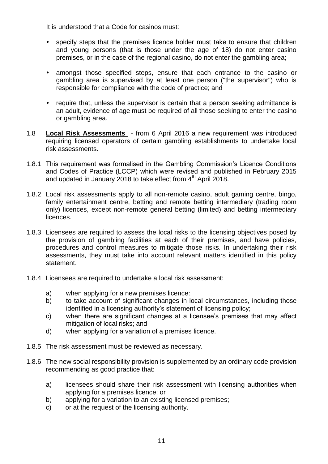It is understood that a Code for casinos must:

- specify steps that the premises licence holder must take to ensure that children and young persons (that is those under the age of 18) do not enter casino premises, or in the case of the regional casino, do not enter the gambling area;
- amongst those specified steps, ensure that each entrance to the casino or gambling area is supervised by at least one person ("the supervisor") who is responsible for compliance with the code of practice; and
- require that, unless the supervisor is certain that a person seeking admittance is an adult, evidence of age must be required of all those seeking to enter the casino or gambling area.
- 1.8 **Local Risk Assessments** from 6 April 2016 a new requirement was introduced requiring licensed operators of certain gambling establishments to undertake local risk assessments.
- 1.8.1 This requirement was formalised in the Gambling Commission's Licence Conditions and Codes of Practice (LCCP) which were revised and published in February 2015 and updated in January 2018 to take effect from  $4<sup>th</sup>$  April 2018.
- 1.8.2 Local risk assessments apply to all non-remote casino, adult gaming centre, bingo, family entertainment centre, betting and remote betting intermediary (trading room only) licences, except non-remote general betting (limited) and betting intermediary licences.
- 1.8.3 Licensees are required to assess the local risks to the licensing objectives posed by the provision of gambling facilities at each of their premises, and have policies, procedures and control measures to mitigate those risks. In undertaking their risk assessments, they must take into account relevant matters identified in this policy statement.
- 1.8.4 Licensees are required to undertake a local risk assessment:
	- a) when applying for a new premises licence:
	- b) to take account of significant changes in local circumstances, including those identified in a licensing authority's statement of licensing policy;
	- c) when there are significant changes at a licensee's premises that may affect mitigation of local risks; and
	- d) when applying for a variation of a premises licence.
- 1.8.5 The risk assessment must be reviewed as necessary.
- 1.8.6 The new social responsibility provision is supplemented by an ordinary code provision recommending as good practice that:
	- a) licensees should share their risk assessment with licensing authorities when applying for a premises licence; or
	- b) applying for a variation to an existing licensed premises;
	- c) or at the request of the licensing authority.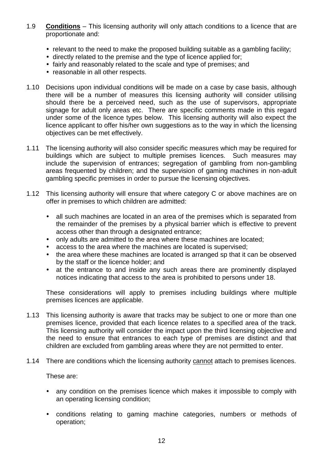- 1.9 **Conditions** This licensing authority will only attach conditions to a licence that are proportionate and:
	- relevant to the need to make the proposed building suitable as a gambling facility;
	- directly related to the premise and the type of licence applied for;
	- fairly and reasonably related to the scale and type of premises: and
	- reasonable in all other respects.
- 1.10 Decisions upon individual conditions will be made on a case by case basis, although there will be a number of measures this licensing authority will consider utilising should there be a perceived need, such as the use of supervisors, appropriate signage for adult only areas etc. There are specific comments made in this regard under some of the licence types below. This licensing authority will also expect the licence applicant to offer his/her own suggestions as to the way in which the licensing objectives can be met effectively.
- 1.11 The licensing authority will also consider specific measures which may be required for buildings which are subject to multiple premises licences. Such measures may include the supervision of entrances; segregation of gambling from non-gambling areas frequented by children; and the supervision of gaming machines in non-adult gambling specific premises in order to pursue the licensing objectives.
- 1.12 This licensing authority will ensure that where category C or above machines are on offer in premises to which children are admitted:
	- all such machines are located in an area of the premises which is separated from the remainder of the premises by a physical barrier which is effective to prevent access other than through a designated entrance;
	- only adults are admitted to the area where these machines are located:
	- access to the area where the machines are located is supervised;
	- the area where these machines are located is arranged sp that it can be observed by the staff or the licence holder; and
	- at the entrance to and inside any such areas there are prominently displayed notices indicating that access to the area is prohibited to persons under 18.

These considerations will apply to premises including buildings where multiple premises licences are applicable.

- 1.13 This licensing authority is aware that tracks may be subject to one or more than one premises licence, provided that each licence relates to a specified area of the track. This licensing authority will consider the impact upon the third licensing objective and the need to ensure that entrances to each type of premises are distinct and that children are excluded from gambling areas where they are not permitted to enter.
- 1.14 There are conditions which the licensing authority cannot attach to premises licences.

These are:

- any condition on the premises licence which makes it impossible to comply with an operating licensing condition;
- conditions relating to gaming machine categories, numbers or methods of operation;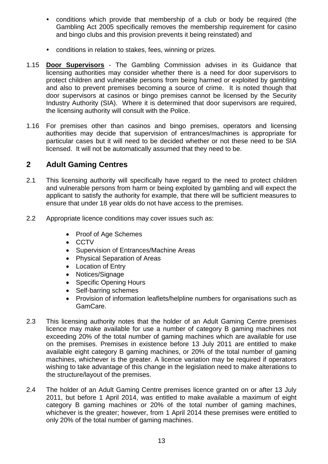- conditions which provide that membership of a club or body be required (the Gambling Act 2005 specifically removes the membership requirement for casino and bingo clubs and this provision prevents it being reinstated) and
- conditions in relation to stakes, fees, winning or prizes.
- 1.15 **Door Supervisors** The Gambling Commission advises in its Guidance that licensing authorities may consider whether there is a need for door supervisors to protect children and vulnerable persons from being harmed or exploited by gambling and also to prevent premises becoming a source of crime. It is noted though that door supervisors at casinos or bingo premises cannot be licensed by the Security Industry Authority (SIA). Where it is determined that door supervisors are required, the licensing authority will consult with the Police.
- 1.16 For premises other than casinos and bingo premises, operators and licensing authorities may decide that supervision of entrances/machines is appropriate for particular cases but it will need to be decided whether or not these need to be SIA licensed. It will not be automatically assumed that they need to be.

#### **2 Adult Gaming Centres**

- 2.1 This licensing authority will specifically have regard to the need to protect children and vulnerable persons from harm or being exploited by gambling and will expect the applicant to satisfy the authority for example, that there will be sufficient measures to ensure that under 18 year olds do not have access to the premises.
- 2.2 Appropriate licence conditions may cover issues such as:
	- Proof of Age Schemes
	- CCTV
	- Supervision of Entrances/Machine Areas
	- Physical Separation of Areas
	- Location of Entry
	- Notices/Signage
	- Specific Opening Hours
	- Self-barring schemes
	- Provision of information leaflets/helpline numbers for organisations such as GamCare.
- 2.3 This licensing authority notes that the holder of an Adult Gaming Centre premises licence may make available for use a number of category B gaming machines not exceeding 20% of the total number of gaming machines which are available for use on the premises. Premises in existence before 13 July 2011 are entitled to make available eight category B gaming machines, or 20% of the total number of gaming machines, whichever is the greater. A licence variation may be required if operators wishing to take advantage of this change in the legislation need to make alterations to the structure/layout of the premises.
- 2.4 The holder of an Adult Gaming Centre premises licence granted on or after 13 July 2011, but before 1 April 2014, was entitled to make available a maximum of eight category B gaming machines or 20% of the total number of gaming machines, whichever is the greater; however, from 1 April 2014 these premises were entitled to only 20% of the total number of gaming machines.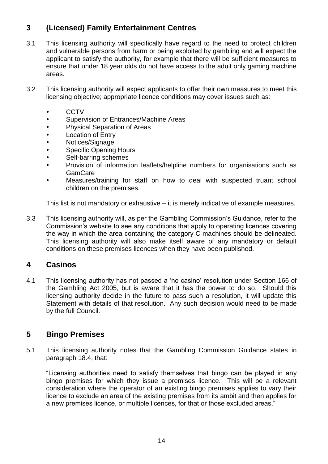## **3 (Licensed) Family Entertainment Centres**

- 3.1 This licensing authority will specifically have regard to the need to protect children and vulnerable persons from harm or being exploited by gambling and will expect the applicant to satisfy the authority, for example that there will be sufficient measures to ensure that under 18 year olds do not have access to the adult only gaming machine areas.
- 3.2 This licensing authority will expect applicants to offer their own measures to meet this licensing objective; appropriate licence conditions may cover issues such as:
	- **CCTV**
	- Supervision of Entrances/Machine Areas
	- Physical Separation of Areas
	- Location of Entry
	- Notices/Signage
	- Specific Opening Hours
	- Self-barring schemes
	- Provision of information leaflets/helpline numbers for organisations such as GamCare
	- Measures/training for staff on how to deal with suspected truant school children on the premises.

This list is not mandatory or exhaustive – it is merely indicative of example measures.

3.3 This licensing authority will, as per the Gambling Commission's Guidance, refer to the Commission's website to see any conditions that apply to operating licences covering the way in which the area containing the category C machines should be delineated. This licensing authority will also make itself aware of any mandatory or default conditions on these premises licences when they have been published.

#### **4 Casinos**

4.1 This licensing authority has not passed a 'no casino' resolution under Section 166 of the Gambling Act 2005, but is aware that it has the power to do so. Should this licensing authority decide in the future to pass such a resolution, it will update this Statement with details of that resolution. Any such decision would need to be made by the full Council.

#### **5 Bingo Premises**

5.1 This licensing authority notes that the Gambling Commission Guidance states in paragraph 18.4, that:

"Licensing authorities need to satisfy themselves that bingo can be played in any bingo premises for which they issue a premises licence. This will be a relevant consideration where the operator of an existing bingo premises applies to vary their licence to exclude an area of the existing premises from its ambit and then applies for a new premises licence, or multiple licences, for that or those excluded areas."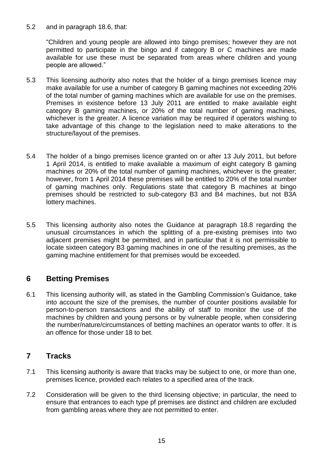5.2 and in paragraph 18.6, that:

"Children and young people are allowed into bingo premises; however they are not permitted to participate in the bingo and if category B or C machines are made available for use these must be separated from areas where children and young people are allowed."

- 5.3 This licensing authority also notes that the holder of a bingo premises licence may make available for use a number of category B gaming machines not exceeding 20% of the total number of gaming machines which are available for use on the premises. Premises in existence before 13 July 2011 are entitled to make available eight category B gaming machines, or 20% of the total number of gaming machines, whichever is the greater. A licence variation may be required if operators wishing to take advantage of this change to the legislation need to make alterations to the structure/layout of the premises.
- 5.4 The holder of a bingo premises licence granted on or after 13 July 2011, but before 1 April 2014, is entitled to make available a maximum of eight category B gaming machines or 20% of the total number of gaming machines, whichever is the greater; however, from 1 April 2014 these premises will be entitled to 20% of the total number of gaming machines only. Regulations state that category B machines at bingo premises should be restricted to sub-category B3 and B4 machines, but not B3A lottery machines.
- 5.5 This licensing authority also notes the Guidance at paragraph 18.8 regarding the unusual circumstances in which the splitting of a pre-existing premises into two adjacent premises might be permitted, and in particular that it is not permissible to locate sixteen category B3 gaming machines in one of the resulting premises, as the gaming machine entitlement for that premises would be exceeded.

#### **6 Betting Premises**

6.1 This licensing authority will, as stated in the Gambling Commission's Guidance, take into account the size of the premises, the number of counter positions available for person-to-person transactions and the ability of staff to monitor the use of the machines by children and young persons or by vulnerable people, when considering the number/nature/circumstances of betting machines an operator wants to offer. It is an offence for those under 18 to bet.

#### **7 Tracks**

- 7.1 This licensing authority is aware that tracks may be subject to one, or more than one, premises licence, provided each relates to a specified area of the track.
- 7.2 Consideration will be given to the third licensing objective; in particular, the need to ensure that entrances to each type pf premises are distinct and children are excluded from gambling areas where they are not permitted to enter.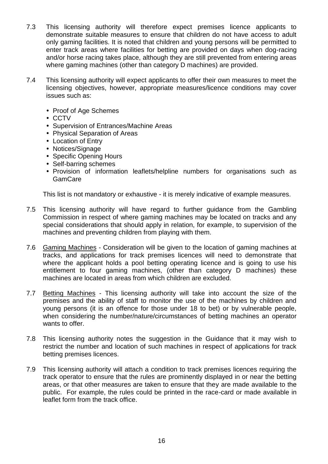- 7.3 This licensing authority will therefore expect premises licence applicants to demonstrate suitable measures to ensure that children do not have access to adult only gaming facilities. It is noted that children and young persons will be permitted to enter track areas where facilities for betting are provided on days when dog-racing and/or horse racing takes place, although they are still prevented from entering areas where gaming machines (other than category D machines) are provided.
- 7.4 This licensing authority will expect applicants to offer their own measures to meet the licensing objectives, however, appropriate measures/licence conditions may cover issues such as:
	- Proof of Age Schemes
	- CCTV
	- Supervision of Entrances/Machine Areas
	- Physical Separation of Areas
	- Location of Entry
	- Notices/Signage
	- Specific Opening Hours
	- Self-barring schemes
	- Provision of information leaflets/helpline numbers for organisations such as GamCare

This list is not mandatory or exhaustive - it is merely indicative of example measures.

- 7.5 This licensing authority will have regard to further guidance from the Gambling Commission in respect of where gaming machines may be located on tracks and any special considerations that should apply in relation, for example, to supervision of the machines and preventing children from playing with them.
- 7.6 Gaming Machines Consideration will be given to the location of gaming machines at tracks, and applications for track premises licences will need to demonstrate that where the applicant holds a pool betting operating licence and is going to use his entitlement to four gaming machines, (other than category D machines) these machines are located in areas from which children are excluded.
- 7.7 Betting Machines This licensing authority will take into account the size of the premises and the ability of staff to monitor the use of the machines by children and young persons (it is an offence for those under 18 to bet) or by vulnerable people, when considering the number/nature/circumstances of betting machines an operator wants to offer.
- 7.8 This licensing authority notes the suggestion in the Guidance that it may wish to restrict the number and location of such machines in respect of applications for track betting premises licences.
- 7.9 This licensing authority will attach a condition to track premises licences requiring the track operator to ensure that the rules are prominently displayed in or near the betting areas, or that other measures are taken to ensure that they are made available to the public. For example, the rules could be printed in the race-card or made available in leaflet form from the track office.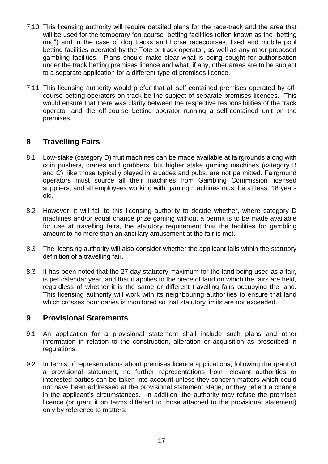- 7.10 This licensing authority will require detailed plans for the race-track and the area that will be used for the temporary "on-course" betting facilities (often known as the "betting ring") and in the case of dog tracks and horse racecourses, fixed and mobile pool betting facilities operated by the Tote or track operator, as well as any other proposed gambling facilities. Plans should make clear what is being sought for authorisation under the track betting premises licence and what, if any, other areas are to be subject to a separate application for a different type of premises licence.
- 7.11 This licensing authority would prefer that all self-contained premises operated by offcourse betting operators on track be the subject of separate premises licences. This would ensure that there was clarity between the respective responsibilities of the track operator and the off-course betting operator running a self-contained unit on the premises.

#### **8 Travelling Fairs**

- 8.1 Low-stake (category D) fruit machines can be made available at fairgrounds along with coin pushers, cranes and grabbers, but higher stake gaming machines (category B and C), like those typically played in arcades and pubs, are not permitted. Fairground operators must source all their machines from Gambling Commission licensed suppliers, and all employees working with gaming machines must be at least 18 years old.
- 8.2 However, it will fall to this licensing authority to decide whether, where category D machines and/or equal chance prize gaming without a permit is to be made available for use at travelling fairs, the statutory requirement that the facilities for gambling amount to no more than an ancillary amusement at the fair is met.
- 8.3 The licensing authority will also consider whether the applicant falls within the statutory definition of a travelling fair.
- 8.3 It has been noted that the 27 day statutory maximum for the land being used as a fair, is per calendar year, and that it applies to the piece of land on which the fairs are held, regardless of whether it is the same or different travelling fairs occupying the land. This licensing authority will work with its neighbouring authorities to ensure that land which crosses boundaries is monitored so that statutory limits are not exceeded.

#### **9 Provisional Statements**

- 9.1 An application for a provisional statement shall include such plans and other information in relation to the construction, alteration or acquisition as prescribed in regulations.
- 9.2 In terms of representations about premises licence applications, following the grant of a provisional statement, no further representations from relevant authorities or interested parties can be taken into account unless they concern matters which could not have been addressed at the provisional statement stage, or they reflect a change in the applicant's circumstances. In addition, the authority may refuse the premises licence (or grant it on terms different to those attached to the provisional statement) only by reference to matters: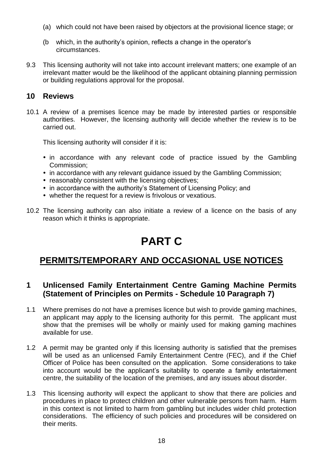- (a) which could not have been raised by objectors at the provisional licence stage; or
- (b which, in the authority's opinion, reflects a change in the operator's circumstances.
- 9.3 This licensing authority will not take into account irrelevant matters; one example of an irrelevant matter would be the likelihood of the applicant obtaining planning permission or building regulations approval for the proposal.

#### **10 Reviews**

10.1 A review of a premises licence may be made by interested parties or responsible authorities. However, the licensing authority will decide whether the review is to be carried out.

This licensing authority will consider if it is:

- in accordance with any relevant code of practice issued by the Gambling Commission;
- in accordance with any relevant quidance issued by the Gambling Commission;
- reasonably consistent with the licensing objectives;
- in accordance with the authority's Statement of Licensing Policy; and
- whether the request for a review is frivolous or vexatious.
- 10.2 The licensing authority can also initiate a review of a licence on the basis of any reason which it thinks is appropriate.

# **PART C**

# **PERMITS/TEMPORARY AND OCCASIONAL USE NOTICES**

#### **1 Unlicensed Family Entertainment Centre Gaming Machine Permits (Statement of Principles on Permits - Schedule 10 Paragraph 7)**

- 1.1 Where premises do not have a premises licence but wish to provide gaming machines, an applicant may apply to the licensing authority for this permit. The applicant must show that the premises will be wholly or mainly used for making gaming machines available for use.
- 1.2 A permit may be granted only if this licensing authority is satisfied that the premises will be used as an unlicensed Family Entertainment Centre (FEC), and if the Chief Officer of Police has been consulted on the application. Some considerations to take into account would be the applicant's suitability to operate a family entertainment centre, the suitability of the location of the premises, and any issues about disorder.
- 1.3 This licensing authority will expect the applicant to show that there are policies and procedures in place to protect children and other vulnerable persons from harm. Harm in this context is not limited to harm from gambling but includes wider child protection considerations. The efficiency of such policies and procedures will be considered on their merits.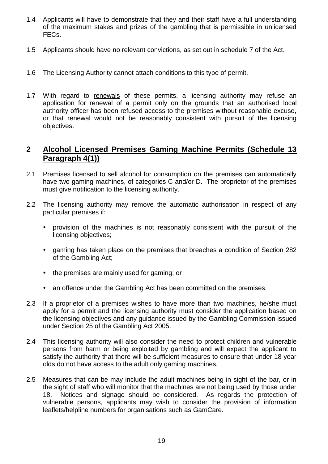- 1.4 Applicants will have to demonstrate that they and their staff have a full understanding of the maximum stakes and prizes of the gambling that is permissible in unlicensed FECs.
- 1.5 Applicants should have no relevant convictions, as set out in schedule 7 of the Act.
- 1.6 The Licensing Authority cannot attach conditions to this type of permit.
- 1.7 With regard to renewals of these permits, a licensing authority may refuse an application for renewal of a permit only on the grounds that an authorised local authority officer has been refused access to the premises without reasonable excuse, or that renewal would not be reasonably consistent with pursuit of the licensing objectives.

#### **2 Alcohol Licensed Premises Gaming Machine Permits (Schedule 13 Paragraph 4(1))**

- 2.1 Premises licensed to sell alcohol for consumption on the premises can automatically have two gaming machines, of categories C and/or D. The proprietor of the premises must give notification to the licensing authority.
- 2.2 The licensing authority may remove the automatic authorisation in respect of any particular premises if:
	- provision of the machines is not reasonably consistent with the pursuit of the licensing objectives;
	- gaming has taken place on the premises that breaches a condition of Section 282 of the Gambling Act;
	- the premises are mainly used for gaming; or
	- an offence under the Gambling Act has been committed on the premises.
- 2.3 If a proprietor of a premises wishes to have more than two machines, he/she must apply for a permit and the licensing authority must consider the application based on the licensing objectives and any guidance issued by the Gambling Commission issued under Section 25 of the Gambling Act 2005.
- 2.4 This licensing authority will also consider the need to protect children and vulnerable persons from harm or being exploited by gambling and will expect the applicant to satisfy the authority that there will be sufficient measures to ensure that under 18 year olds do not have access to the adult only gaming machines.
- 2.5 Measures that can be may include the adult machines being in sight of the bar, or in the sight of staff who will monitor that the machines are not being used by those under 18. Notices and signage should be considered. As regards the protection of vulnerable persons, applicants may wish to consider the provision of information leaflets/helpline numbers for organisations such as GamCare.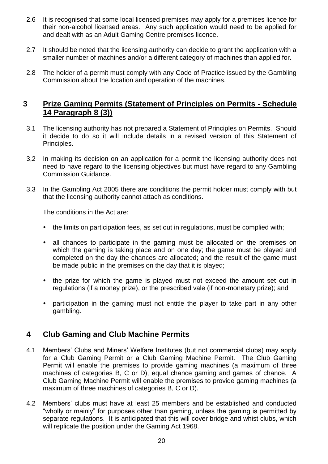- 2.6 It is recognised that some local licensed premises may apply for a premises licence for their non-alcohol licensed areas. Any such application would need to be applied for and dealt with as an Adult Gaming Centre premises licence.
- 2.7 It should be noted that the licensing authority can decide to grant the application with a smaller number of machines and/or a different category of machines than applied for.
- 2.8 The holder of a permit must comply with any Code of Practice issued by the Gambling Commission about the location and operation of the machines.

#### **3 Prize Gaming Permits (Statement of Principles on Permits - Schedule 14 Paragraph 8 (3))**

- 3.1 The licensing authority has not prepared a Statement of Principles on Permits. Should it decide to do so it will include details in a revised version of this Statement of Principles.
- 3,2 In making its decision on an application for a permit the licensing authority does not need to have regard to the licensing objectives but must have regard to any Gambling Commission Guidance.
- 3.3 In the Gambling Act 2005 there are conditions the permit holder must comply with but that the licensing authority cannot attach as conditions.

The conditions in the Act are:

- the limits on participation fees, as set out in regulations, must be complied with;
- all chances to participate in the gaming must be allocated on the premises on which the gaming is taking place and on one day; the game must be played and completed on the day the chances are allocated; and the result of the game must be made public in the premises on the day that it is played;
- the prize for which the game is played must not exceed the amount set out in regulations (if a money prize), or the prescribed vale (if non-monetary prize); and
- participation in the gaming must not entitle the player to take part in any other gambling.

#### **4 Club Gaming and Club Machine Permits**

- 4.1 Members' Clubs and Miners' Welfare Institutes (but not commercial clubs) may apply for a Club Gaming Permit or a Club Gaming Machine Permit. The Club Gaming Permit will enable the premises to provide gaming machines (a maximum of three machines of categories B, C or D), equal chance gaming and games of chance. A Club Gaming Machine Permit will enable the premises to provide gaming machines (a maximum of three machines of categories B, C or D).
- 4.2 Members' clubs must have at least 25 members and be established and conducted "wholly or mainly" for purposes other than gaming, unless the gaming is permitted by separate regulations. It is anticipated that this will cover bridge and whist clubs, which will replicate the position under the Gaming Act 1968.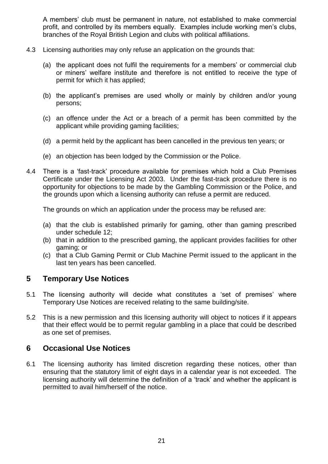A members' club must be permanent in nature, not established to make commercial profit, and controlled by its members equally. Examples include working men's clubs, branches of the Royal British Legion and clubs with political affiliations.

- 4.3 Licensing authorities may only refuse an application on the grounds that:
	- (a) the applicant does not fulfil the requirements for a members' or commercial club or miners' welfare institute and therefore is not entitled to receive the type of permit for which it has applied;
	- (b) the applicant's premises are used wholly or mainly by children and/or young persons;
	- (c) an offence under the Act or a breach of a permit has been committed by the applicant while providing gaming facilities;
	- (d) a permit held by the applicant has been cancelled in the previous ten years; or
	- (e) an objection has been lodged by the Commission or the Police.
- 4.4 There is a 'fast-track' procedure available for premises which hold a Club Premises Certificate under the Licensing Act 2003. Under the fast-track procedure there is no opportunity for objections to be made by the Gambling Commission or the Police, and the grounds upon which a licensing authority can refuse a permit are reduced.

The grounds on which an application under the process may be refused are:

- (a) that the club is established primarily for gaming, other than gaming prescribed under schedule 12;
- (b) that in addition to the prescribed gaming, the applicant provides facilities for other gaming; or
- (c) that a Club Gaming Permit or Club Machine Permit issued to the applicant in the last ten years has been cancelled.

#### **5 Temporary Use Notices**

- 5.1 The licensing authority will decide what constitutes a 'set of premises' where Temporary Use Notices are received relating to the same building/site.
- 5.2 This is a new permission and this licensing authority will object to notices if it appears that their effect would be to permit regular gambling in a place that could be described as one set of premises.

#### **6 Occasional Use Notices**

6.1 The licensing authority has limited discretion regarding these notices, other than ensuring that the statutory limit of eight days in a calendar year is not exceeded. The licensing authority will determine the definition of a 'track' and whether the applicant is permitted to avail him/herself of the notice.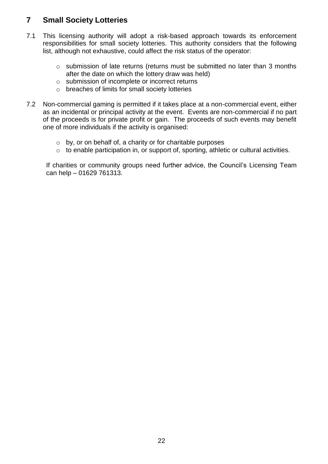### **7 Small Society Lotteries**

- 7.1 This licensing authority will adopt a risk-based approach towards its enforcement responsibilities for small society lotteries. This authority considers that the following list, although not exhaustive, could affect the risk status of the operator:
	- o submission of late returns (returns must be submitted no later than 3 months after the date on which the lottery draw was held)
	- o submission of incomplete or incorrect returns
	- o breaches of limits for small society lotteries
- 7.2 Non-commercial gaming is permitted if it takes place at a non-commercial event, either as an incidental or principal activity at the event. Events are non-commercial if no part of the proceeds is for private profit or gain. The proceeds of such events may benefit one of more individuals if the activity is organised:
	- o by, or on behalf of, a charity or for charitable purposes
	- o to enable participation in, or support of, sporting, athletic or cultural activities.

If charities or community groups need further advice, the Council's Licensing Team can help – 01629 761313.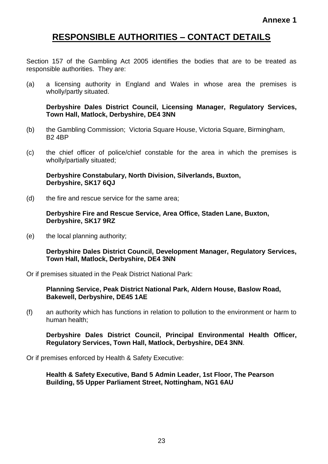## **RESPONSIBLE AUTHORITIES – CONTACT DETAILS**

Section 157 of the Gambling Act 2005 identifies the bodies that are to be treated as responsible authorities. They are:

(a) a licensing authority in England and Wales in whose area the premises is wholly/partly situated.

**Derbyshire Dales District Council, Licensing Manager, Regulatory Services, Town Hall, Matlock, Derbyshire, DE4 3NN**

- (b) the Gambling Commission; Victoria Square House, Victoria Square, Birmingham, B2 4BP
- (c) the chief officer of police/chief constable for the area in which the premises is wholly/partially situated;

**Derbyshire Constabulary, North Division, Silverlands, Buxton, Derbyshire, SK17 6QJ**

(d) the fire and rescue service for the same area;

**Derbyshire Fire and Rescue Service, Area Office, Staden Lane, Buxton, Derbyshire, SK17 9RZ**

(e) the local planning authority;

**Derbyshire Dales District Council, Development Manager, Regulatory Services, Town Hall, Matlock, Derbyshire, DE4 3NN**

Or if premises situated in the Peak District National Park:

**Planning Service, Peak District National Park, Aldern House, Baslow Road, Bakewell, Derbyshire, DE45 1AE**

(f) an authority which has functions in relation to pollution to the environment or harm to human health;

**Derbyshire Dales District Council, Principal Environmental Health Officer, Regulatory Services, Town Hall, Matlock, Derbyshire, DE4 3NN**.

Or if premises enforced by Health & Safety Executive:

**Health & Safety Executive, Band 5 Admin Leader, 1st Floor, The Pearson Building, 55 Upper Parliament Street, Nottingham, NG1 6AU**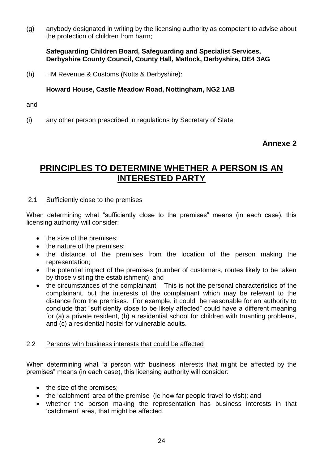(g) anybody designated in writing by the licensing authority as competent to advise about the protection of children from harm;

#### **Safeguarding Children Board, Safeguarding and Specialist Services, Derbyshire County Council, County Hall, Matlock, Derbyshire, DE4 3AG**

(h) HM Revenue & Customs (Notts & Derbyshire):

#### **Howard House, Castle Meadow Road, Nottingham, NG2 1AB**

and

(i) any other person prescribed in regulations by Secretary of State.

#### **Annexe 2**

# **PRINCIPLES TO DETERMINE WHETHER A PERSON IS AN INTERESTED PARTY**

#### 2.1 Sufficiently close to the premises

When determining what "sufficiently close to the premises" means (in each case), this licensing authority will consider:

- the size of the premises;
- the nature of the premises;
- the distance of the premises from the location of the person making the representation;
- the potential impact of the premises (number of customers, routes likely to be taken by those visiting the establishment); and
- the circumstances of the complainant. This is not the personal characteristics of the complainant, but the interests of the complainant which may be relevant to the distance from the premises. For example, it could be reasonable for an authority to conclude that "sufficiently close to be likely affected" could have a different meaning for (a) a private resident, (b) a residential school for children with truanting problems, and (c) a residential hostel for vulnerable adults.

#### 2.2 Persons with business interests that could be affected

When determining what "a person with business interests that might be affected by the premises" means (in each case), this licensing authority will consider:

- the size of the premises;
- the 'catchment' area of the premise (ie how far people travel to visit); and
- whether the person making the representation has business interests in that 'catchment' area, that might be affected.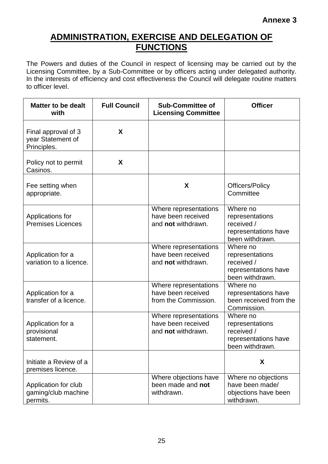# **ADMINISTRATION, EXERCISE AND DELEGATION OF FUNCTIONS**

The Powers and duties of the Council in respect of licensing may be carried out by the Licensing Committee, by a Sub-Committee or by officers acting under delegated authority. In the interests of efficiency and cost effectiveness the Council will delegate routine matters to officer level.

| <b>Matter to be dealt</b><br>with                       | <b>Full Council</b> | <b>Sub-Committee of</b><br><b>Licensing Committee</b>               | <b>Officer</b>                                                                       |
|---------------------------------------------------------|---------------------|---------------------------------------------------------------------|--------------------------------------------------------------------------------------|
| Final approval of 3<br>year Statement of<br>Principles. | X                   |                                                                     |                                                                                      |
| Policy not to permit<br>Casinos.                        | X                   |                                                                     |                                                                                      |
| Fee setting when<br>appropriate.                        |                     | X                                                                   | <b>Officers/Policy</b><br>Committee                                                  |
| Applications for<br><b>Premises Licences</b>            |                     | Where representations<br>have been received<br>and not withdrawn.   | Where no<br>representations<br>received /<br>representations have<br>been withdrawn. |
| Application for a<br>variation to a licence.            |                     | Where representations<br>have been received<br>and not withdrawn.   | Where no<br>representations<br>received /<br>representations have<br>been withdrawn. |
| Application for a<br>transfer of a licence.             |                     | Where representations<br>have been received<br>from the Commission. | Where no<br>representations have<br>been received from the<br>Commission.            |
| Application for a<br>provisional<br>statement.          |                     | Where representations<br>have been received<br>and not withdrawn.   | Where no<br>representations<br>received /<br>representations have<br>been withdrawn. |
| Initiate a Review of a<br>premises licence.             |                     |                                                                     | X                                                                                    |
| Application for club<br>gaming/club machine<br>permits. |                     | Where objections have<br>been made and not<br>withdrawn.            | Where no objections<br>have been made/<br>objections have been<br>withdrawn.         |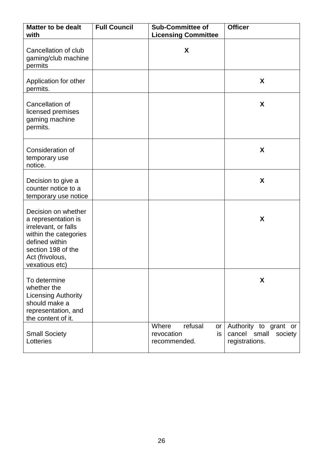| <b>Matter to be dealt</b><br>with                                                                                                                                        | <b>Full Council</b> | <b>Sub-Committee of</b><br><b>Licensing Committee</b>       | <b>Officer</b>                                                     |
|--------------------------------------------------------------------------------------------------------------------------------------------------------------------------|---------------------|-------------------------------------------------------------|--------------------------------------------------------------------|
| Cancellation of club<br>gaming/club machine<br>permits                                                                                                                   |                     | X                                                           |                                                                    |
| Application for other<br>permits.                                                                                                                                        |                     |                                                             | X                                                                  |
| Cancellation of<br>licensed premises<br>gaming machine<br>permits.                                                                                                       |                     |                                                             | X                                                                  |
| Consideration of<br>temporary use<br>notice.                                                                                                                             |                     |                                                             | X                                                                  |
| Decision to give a<br>counter notice to a<br>temporary use notice                                                                                                        |                     |                                                             | X                                                                  |
| Decision on whether<br>a representation is<br>irrelevant, or falls<br>within the categories<br>defined within<br>section 198 of the<br>Act (frivolous,<br>vexatious etc) |                     |                                                             | X                                                                  |
| To determine<br>whether the<br><b>Licensing Authority</b><br>should make a<br>representation, and<br>the content of it.                                                  |                     |                                                             | X                                                                  |
| <b>Small Society</b><br>Lotteries                                                                                                                                        |                     | Where<br>refusal<br>or<br>revocation<br>is.<br>recommended. | Authority to grant or<br>cancel small<br>society<br>registrations. |